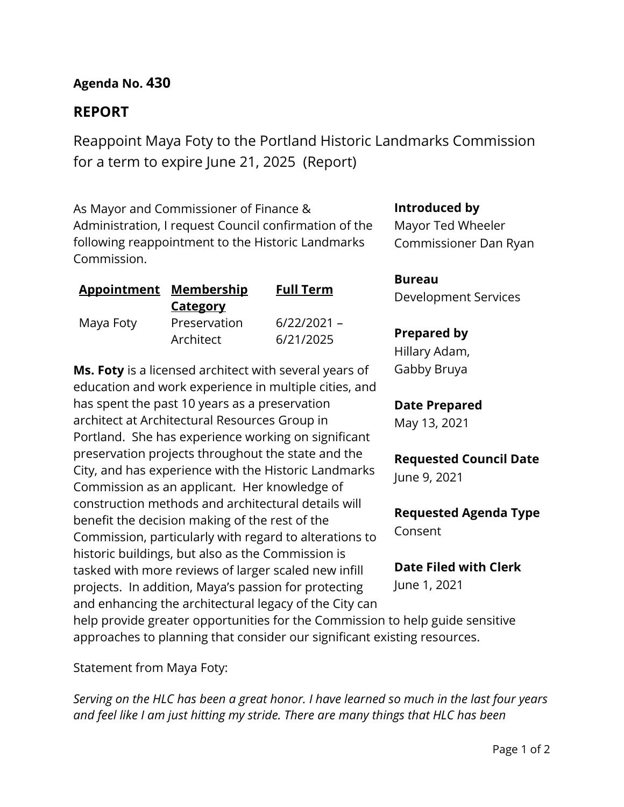**Agenda No. 430**

# **REPORT**

Reappoint Maya Foty to the Portland Historic Landmarks Commission for a term to expire June 21, 2025 (Report)

As Mayor and Commissioner of Finance & Administration, I request Council confirmation of the following reappointment to the Historic Landmarks Commission.

| <b>Appointment Membership</b> |                 | <b>Full Term</b> |  |  |
|-------------------------------|-----------------|------------------|--|--|
|                               | <b>Category</b> |                  |  |  |
| Maya Foty                     | Preservation    | $6/22/2021 -$    |  |  |
|                               | Architect       | 6/21/2025        |  |  |

**Ms. Foty** is a licensed architect with several years of education and work experience in multiple cities, and has spent the past 10 years as a preservation architect at Architectural Resources Group in Portland. She has experience working on significant preservation projects throughout the state and the City, and has experience with the Historic Landmarks Commission as an applicant. Her knowledge of construction methods and architectural details will benefit the decision making of the rest of the Commission, particularly with regard to alterations to historic buildings, but also as the Commission is tasked with more reviews of larger scaled new infill projects. In addition, Maya's passion for protecting and enhancing the architectural legacy of the City can **Introduced by**

Mayor Ted Wheeler Commissioner Dan Ryan

**Bureau** Development Services

## **Prepared by**

Hillary Adam, Gabby Bruya

## **Date Prepared**

May 13, 2021

# **Requested Council Date**

June 9, 2021

**Requested Agenda Type** Consent

**Date Filed with Clerk** June 1, 2021

help provide greater opportunities for the Commission to help guide sensitive approaches to planning that consider our significant existing resources.

Statement from Maya Foty:

*Serving on the HLC has been a great honor. I have learned so much in the last four years and feel like I am just hitting my stride. There are many things that HLC has been*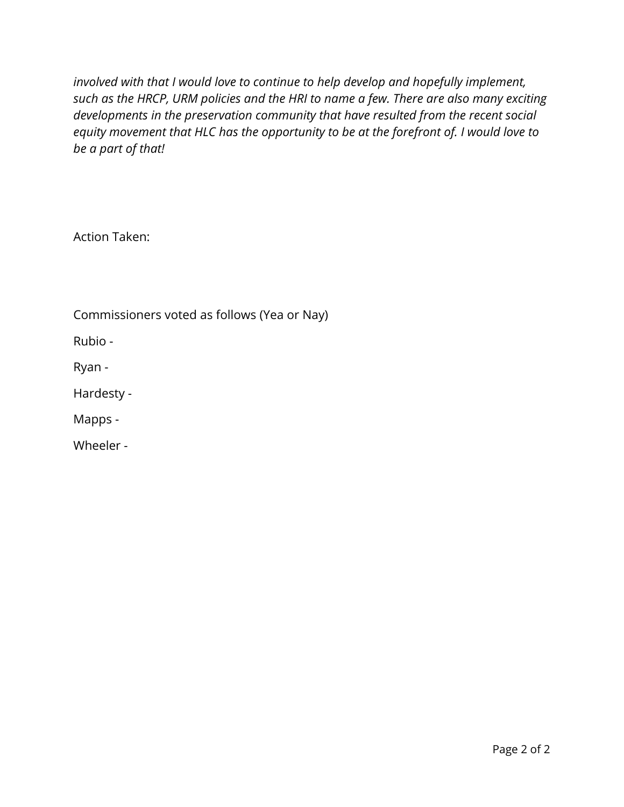*involved with that I would love to continue to help develop and hopefully implement, such as the HRCP, URM policies and the HRI to name a few. There are also many exciting developments in the preservation community that have resulted from the recent social equity movement that HLC has the opportunity to be at the forefront of. I would love to be a part of that!*

Action Taken:

Commissioners voted as follows (Yea or Nay)

Rubio -

Ryan -

Hardesty -

Mapps -

Wheeler -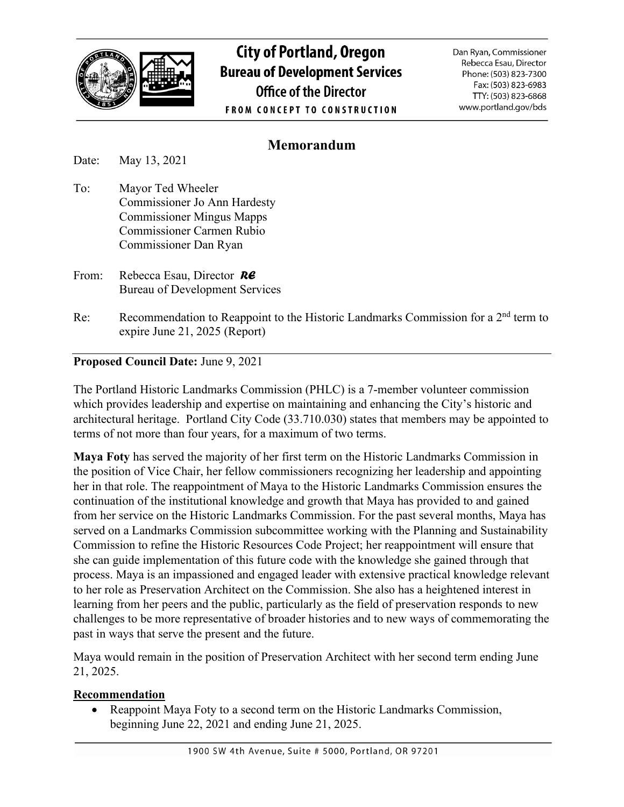

**City of Portland, Oregon Bureau of Development Services Office of the Director FROM CONCEPT TO CONSTRUCTION** 

Dan Ryan, Commissioner Rebecca Esau, Director Phone: (503) 823-7300 Fax: (503) 823-6983 TTY: (503) 823-6868 www.portland.gov/bds

## **Memorandum**

Date: May 13, 2021

- To: Mayor Ted Wheeler Commissioner Jo Ann Hardesty Commissioner Mingus Mapps Commissioner Carmen Rubio Commissioner Dan Ryan
- From: Rebecca Esau, Director *RE* Bureau of Development Services
- Re: Recommendation to Reappoint to the Historic Landmarks Commission for a  $2<sup>nd</sup>$  term to expire June 21, 2025 (Report)

## **Proposed Council Date:** June 9, 2021

The Portland Historic Landmarks Commission (PHLC) is a 7-member volunteer commission which provides leadership and expertise on maintaining and enhancing the City's historic and architectural heritage. Portland City Code (33.710.030) states that members may be appointed to terms of not more than four years, for a maximum of two terms.

**Maya Foty** has served the majority of her first term on the Historic Landmarks Commission in the position of Vice Chair, her fellow commissioners recognizing her leadership and appointing her in that role. The reappointment of Maya to the Historic Landmarks Commission ensures the continuation of the institutional knowledge and growth that Maya has provided to and gained from her service on the Historic Landmarks Commission. For the past several months, Maya has served on a Landmarks Commission subcommittee working with the Planning and Sustainability Commission to refine the Historic Resources Code Project; her reappointment will ensure that she can guide implementation of this future code with the knowledge she gained through that process. Maya is an impassioned and engaged leader with extensive practical knowledge relevant to her role as Preservation Architect on the Commission. She also has a heightened interest in learning from her peers and the public, particularly as the field of preservation responds to new challenges to be more representative of broader histories and to new ways of commemorating the past in ways that serve the present and the future.

Maya would remain in the position of Preservation Architect with her second term ending June 21, 2025.

#### **Recommendation**

• Reappoint Maya Foty to a second term on the Historic Landmarks Commission, beginning June 22, 2021 and ending June 21, 2025.